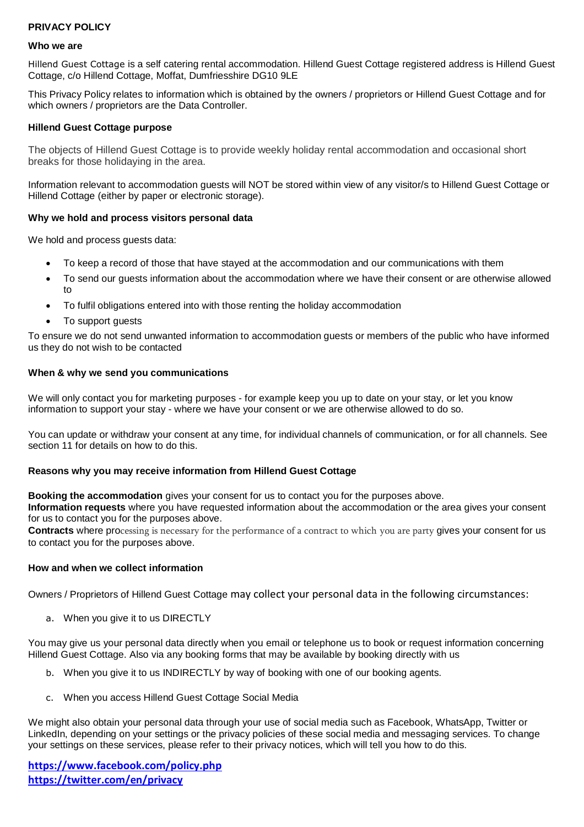# **PRIVACY POLICY**

#### **Who we are**

Hillend Guest Cottage is a self catering rental accommodation. Hillend Guest Cottage registered address is Hillend Guest Cottage, c/o Hillend Cottage, Moffat, Dumfriesshire DG10 9LE

This Privacy Policy relates to information which is obtained by the owners / proprietors or Hillend Guest Cottage and for which owners / proprietors are the Data Controller.

#### **Hillend Guest Cottage purpose**

The objects of Hillend Guest Cottage is to provide weekly holiday rental accommodation and occasional short breaks for those holidaying in the area.

Information relevant to accommodation guests will NOT be stored within view of any visitor/s to Hillend Guest Cottage or Hillend Cottage (either by paper or electronic storage).

### **Why we hold and process visitors personal data**

We hold and process guests data:

- To keep a record of those that have stayed at the accommodation and our communications with them
- To send our guests information about the accommodation where we have their consent or are otherwise allowed to
- To fulfil obligations entered into with those renting the holiday accommodation
- To support quests

To ensure we do not send unwanted information to accommodation guests or members of the public who have informed us they do not wish to be contacted

### **When & why we send you communications**

We will only contact you for marketing purposes - for example keep you up to date on your stay, or let you know information to support your stay - where we have your consent or we are otherwise allowed to do so.

You can update or withdraw your consent at any time, for individual channels of communication, or for all channels. See section 11 for details on how to do this.

#### **Reasons why you may receive information from Hillend Guest Cottage**

**Booking the accommodation** gives your consent for us to contact you for the purposes above.

**Information requests** where you have requested information about the accommodation or the area gives your consent for us to contact you for the purposes above.

**Contracts** where processing is necessary for the performance of a contract to which you are party gives your consent for us to contact you for the purposes above.

#### **How and when we collect information**

Owners / Proprietors of Hillend Guest Cottage may collect your personal data in the following circumstances:

a. When you give it to us DIRECTLY

You may give us your personal data directly when you email or telephone us to book or request information concerning Hillend Guest Cottage. Also via any booking forms that may be available by booking directly with us

- b. When you give it to us INDIRECTLY by way of booking with one of our booking agents.
- c. When you access Hillend Guest Cottage Social Media

We might also obtain your personal data through your use of social media such as Facebook, WhatsApp, Twitter or LinkedIn, depending on your settings or the privacy policies of these social media and messaging services. To change your settings on these services, please refer to their privacy notices, which will tell you how to do this.

**<https://www.facebook.com/policy.php> <https://twitter.com/en/privacy>**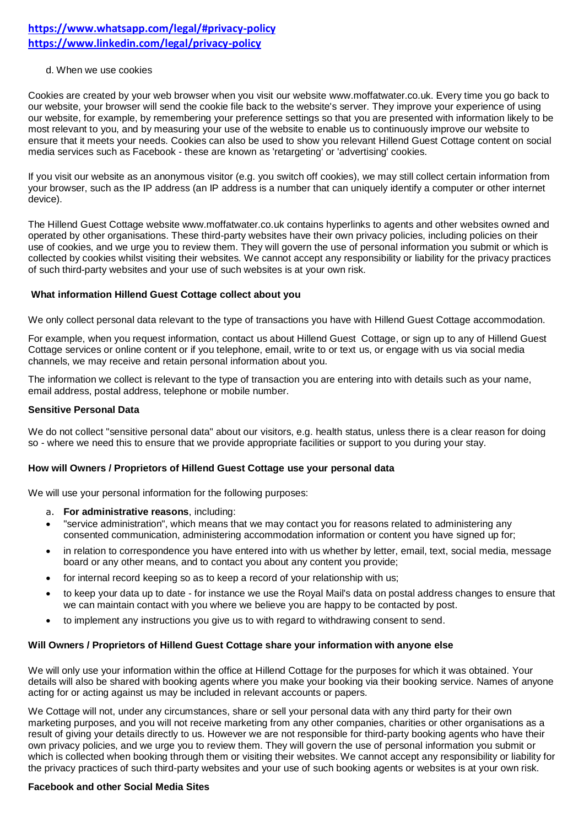# **<https://www.whatsapp.com/legal/#privacy-policy> <https://www.linkedin.com/legal/privacy-policy>**

### d. When we use cookies

Cookies are created by your web browser when you visit our website www.moffatwater.co.uk. Every time you go back to our website, your browser will send the cookie file back to the website's server. They improve your experience of using our website, for example, by remembering your preference settings so that you are presented with information likely to be most relevant to you, and by measuring your use of the website to enable us to continuously improve our website to ensure that it meets your needs. Cookies can also be used to show you relevant Hillend Guest Cottage content on social media services such as Facebook - these are known as 'retargeting' or 'advertising' cookies.

If you visit our website as an anonymous visitor (e.g. you switch off cookies), we may still collect certain information from your browser, such as the IP address (an IP address is a number that can uniquely identify a computer or other internet device).

The Hillend Guest Cottage website www.moffatwater.co.uk contains hyperlinks to agents and other websites owned and operated by other organisations. These third-party websites have their own privacy policies, including policies on their use of cookies, and we urge you to review them. They will govern the use of personal information you submit or which is collected by cookies whilst visiting their websites. We cannot accept any responsibility or liability for the privacy practices of such third-party websites and your use of such websites is at your own risk.

### **What information Hillend Guest Cottage collect about you**

We only collect personal data relevant to the type of transactions you have with Hillend Guest Cottage accommodation.

For example, when you request information, contact us about Hillend Guest Cottage, or sign up to any of Hillend Guest Cottage services or online content or if you telephone, email, write to or text us, or engage with us via social media channels, we may receive and retain personal information about you.

The information we collect is relevant to the type of transaction you are entering into with details such as your name, email address, postal address, telephone or mobile number.

### **Sensitive Personal Data**

We do not collect "sensitive personal data" about our visitors, e.g. health status, unless there is a clear reason for doing so - where we need this to ensure that we provide appropriate facilities or support to you during your stay.

# **How will Owners / Proprietors of Hillend Guest Cottage use your personal data**

We will use your personal information for the following purposes:

- a. **For administrative reasons**, including:
- "service administration", which means that we may contact you for reasons related to administering any consented communication, administering accommodation information or content you have signed up for;
- in relation to correspondence you have entered into with us whether by letter, email, text, social media, message board or any other means, and to contact you about any content you provide;
- for internal record keeping so as to keep a record of your relationship with us;
- to keep your data up to date for instance we use the Royal Mail's data on postal address changes to ensure that we can maintain contact with you where we believe you are happy to be contacted by post.
- to implement any instructions you give us to with regard to withdrawing consent to send.

# **Will Owners / Proprietors of Hillend Guest Cottage share your information with anyone else**

We will only use your information within the office at Hillend Cottage for the purposes for which it was obtained. Your details will also be shared with booking agents where you make your booking via their booking service. Names of anyone acting for or acting against us may be included in relevant accounts or papers.

We Cottage will not, under any circumstances, share or sell your personal data with any third party for their own marketing purposes, and you will not receive marketing from any other companies, charities or other organisations as a result of giving your details directly to us. However we are not responsible for third-party booking agents who have their own privacy policies, and we urge you to review them. They will govern the use of personal information you submit or which is collected when booking through them or visiting their websites. We cannot accept any responsibility or liability for the privacy practices of such third-party websites and your use of such booking agents or websites is at your own risk.

# **Facebook and other Social Media Sites**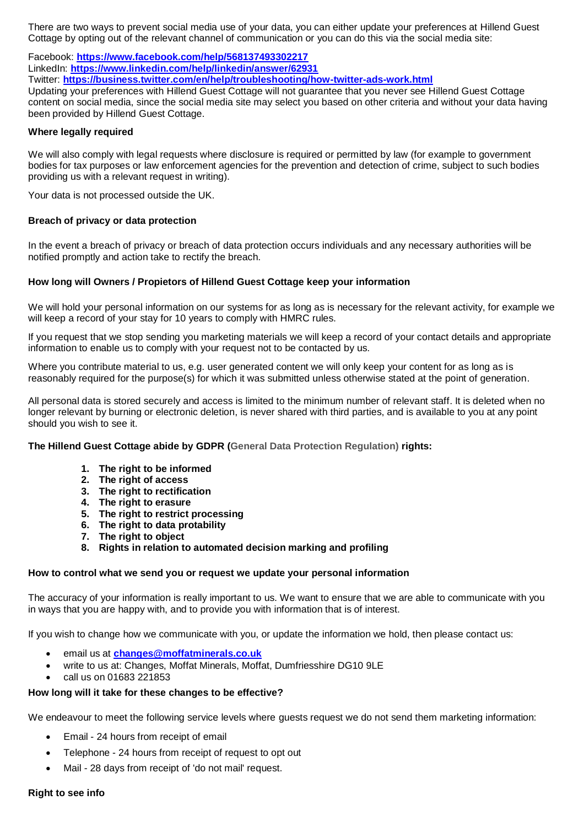There are two ways to prevent social media use of your data, you can either update your preferences at Hillend Guest Cottage by opting out of the relevant channel of communication or you can do this via the social media site:

Facebook: **<https://www.facebook.com/help/568137493302217>** LinkedIn: **<https://www.linkedin.com/help/linkedin/answer/62931>**

Twitter: **<https://business.twitter.com/en/help/troubleshooting/how-twitter-ads-work.html>**

Updating your preferences with Hillend Guest Cottage will not guarantee that you never see Hillend Guest Cottage content on social media, since the social media site may select you based on other criteria and without your data having been provided by Hillend Guest Cottage.

# **Where legally required**

We will also comply with legal requests where disclosure is required or permitted by law (for example to government bodies for tax purposes or law enforcement agencies for the prevention and detection of crime, subject to such bodies providing us with a relevant request in writing).

Your data is not processed outside the UK.

# **Breach of privacy or data protection**

In the event a breach of privacy or breach of data protection occurs individuals and any necessary authorities will be notified promptly and action take to rectify the breach.

# **How long will Owners / Propietors of Hillend Guest Cottage keep your information**

We will hold your personal information on our systems for as long as is necessary for the relevant activity, for example we will keep a record of your stay for 10 years to comply with HMRC rules.

If you request that we stop sending you marketing materials we will keep a record of your contact details and appropriate information to enable us to comply with your request not to be contacted by us.

Where you contribute material to us, e.g. user generated content we will only keep your content for as long as is reasonably required for the purpose(s) for which it was submitted unless otherwise stated at the point of generation.

All personal data is stored securely and access is limited to the minimum number of relevant staff. It is deleted when no longer relevant by burning or electronic deletion, is never shared with third parties, and is available to you at any point should you wish to see it.

**The Hillend Guest Cottage abide by GDPR (General Data Protection Regulation) rights:**

- **1. The right to be informed**
- **2. The right of access**
- **3. The right to rectification**
- **4. The right to erasure**
- **5. The right to restrict processing**
- **6. The right to data protability**
- **7. The right to object**
- **8. Rights in relation to automated decision marking and profiling**

# **How to control what we send you or request we update your personal information**

The accuracy of your information is really important to us. We want to ensure that we are able to communicate with you in ways that you are happy with, and to provide you with information that is of interest.

If you wish to change how we communicate with you, or update the information we hold, then please contact us:

- email us at **[changes@moffatminerals.co.uk](mailto:changes@moffatminerals.co.uk)**
- write to us at: Changes, Moffat Minerals, Moffat, Dumfriesshire DG10 9LE
- call us on 01683 221853

# **How long will it take for these changes to be effective?**

We endeavour to meet the following service levels where guests request we do not send them marketing information:

- Email 24 hours from receipt of email
- Telephone 24 hours from receipt of request to opt out
- Mail 28 days from receipt of 'do not mail' request.

#### **Right to see info**